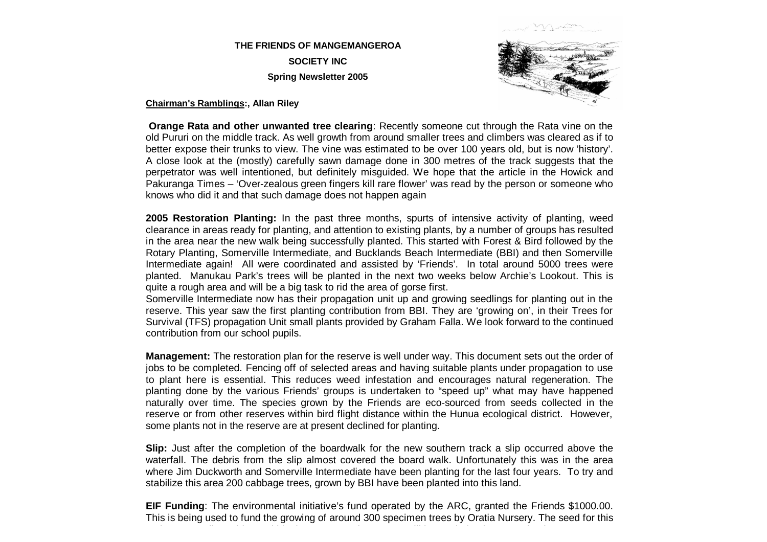### **THE FRIENDS OF MANGEMANGEROA SOCIETY INC Spring Newsletter 2005**



**Chairman's Ramblings:, Allan Riley**

**Orange Rata and other unwanted tree clearing**: Recently someone cut through the Rata vine on the old Pururi on the middle track. As well growth from around smaller trees and climbers was cleared as if to better expose their trunks to view. The vine was estimated to be over 100 years old, but is now 'history'. A close look at the (mostly) carefully sawn damage done in 300 metres of the track suggests that the perpetrator was well intentioned, but definitely misguided. We hope that the article in the Howick and Pakuranga Times – 'Over-zealous green fingers kill rare flower' was read by the person or someone who knows who did it and that such damage does not happen again

**2005 Restoration Planting:** In the past three months, spurts of intensive activity of planting, weed clearance in areas ready for planting, and attention to existing plants, by a number of groups has resulted in the area near the new walk being successfully planted. This started with Forest & Bird followed by the Rotary Planting, Somerville Intermediate, and Bucklands Beach Intermediate (BBI) and then Somerville Intermediate again! All were coordinated and assisted by 'Friends'. In total around 5000 trees were planted. Manukau Park's trees will be planted in the next two weeks below Archie's Lookout. This is quite a rough area and will be a big task to rid the area of gorse first.

Somerville Intermediate now has their propagation unit up and growing seedlings for planting out in the reserve. This year saw the first planting contribution from BBI. They are 'growing on', in their Trees for Survival (TFS) propagation Unit small plants provided by Graham Falla. We look forward to the continued contribution from our school pupils.

**Management:** The restoration plan for the reserve is well under way. This document sets out the order of jobs to be completed. Fencing off of selected areas and having suitable plants under propagation to use to plant here is essential. This reduces weed infestation and encourages natural regeneration. The planting done by the various Friends' groups is undertaken to "speed up" what may have happened naturally over time. The species grown by the Friends are eco-sourced from seeds collected in the reserve or from other reserves within bird flight distance within the Hunua ecological district. However, some plants not in the reserve are at present declined for planting.

**Slip:** Just after the completion of the boardwalk for the new southern track a slip occurred above the waterfall. The debris from the slip almost covered the board walk. Unfortunately this was in the area where Jim Duckworth and Somerville Intermediate have been planting for the last four years. To try and stabilize this area 200 cabbage trees, grown by BBI have been planted into this land.

**EIF Funding**: The environmental initiative's fund operated by the ARC, granted the Friends \$1000.00. This is being used to fund the growing of around 300 specimen trees by Oratia Nursery. The seed for this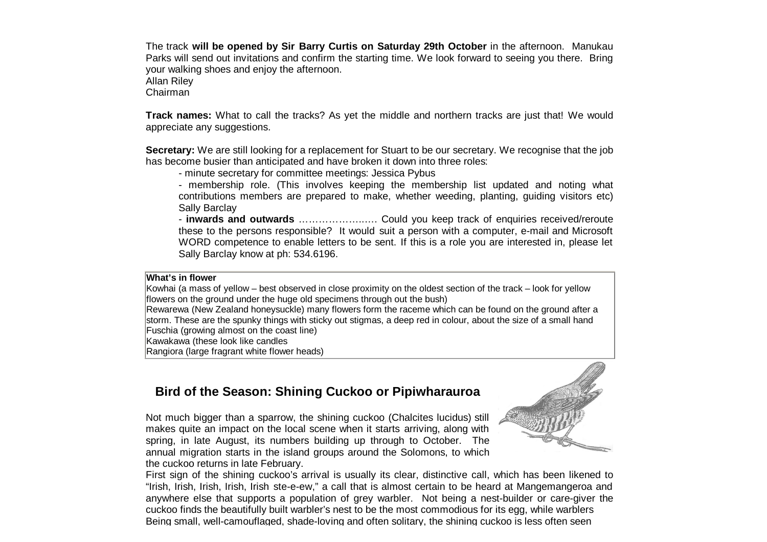The track **will be opened by Sir Barry Curtis on Saturday 29th October** in the afternoon. Manukau Parks will send out invitations and confirm the starting time. We look forward to seeing you there. Bring your walking shoes and enjoy the afternoon. Allan Riley

Chairman

**Track names:** What to call the tracks? As yet the middle and northern tracks are just that! We would appreciate any suggestions.

**Secretary:** We are still looking for a replacement for Stuart to be our secretary. We recognise that the job has become busier than anticipated and have broken it down into three roles:

- minute secretary for committee meetings: Jessica Pybus

- membership role. (This involves keeping the membership list updated and noting what contributions members are prepared to make, whether weeding, planting, guiding visitors etc) Sally Barclay

- **inwards and outwards** … …………… ..… . Could you keep track of enquiries received/reroute these to the persons responsible? It would suit a person with a computer, e-mail and Microsoft WORD competence to enable letters to be sent. If this is a role you are interested in, please let Sally Barclay know at ph: 534.6196.

#### **What's in flower**

Kowhai (a mass of yellow – best observed in close proximity on the oldest section of the track – look for yellow flowers on the ground under the huge old specimens through out the bush)

Rewarewa (New Zealand honeysuckle) many flowers form the raceme which can be found on the ground after a storm. These are the spunky things with sticky out stigmas, a deep red in colour, about the size of a small hand Fuschia (growing almost on the coast line)

Kawakawa (these look like candles

Rangiora (large fragrant white flower heads)

# **Bird of the Season: Shining Cuckoo or Pipiwharauroa**

Not much bigger than a sparrow, the shining cuckoo (Chalcites lucidus) still makes quite an impact on the local scene when it starts arriving, along with spring, in late August, its numbers building up through to October. The annual migration starts in the island groups around the Solomons, to which the cuckoo returns in late February.



First sign of the shining cuckoo's arrival is usually its clear, distinctive call, which has been likened to "Irish, Irish, Irish, Irish, Irish ste-e-ew," a call that is almost certain to be heard at Mangemangeroa and anywhere else that supports a population of grey warbler. Not being a nest-builder or care-giver the cuckoo finds the beautifully built warbler's nest to be the most commodious for its egg, while warblers Being small, well-camouflaged, shade-loving and often solitary, the shining cuckoo is less often seen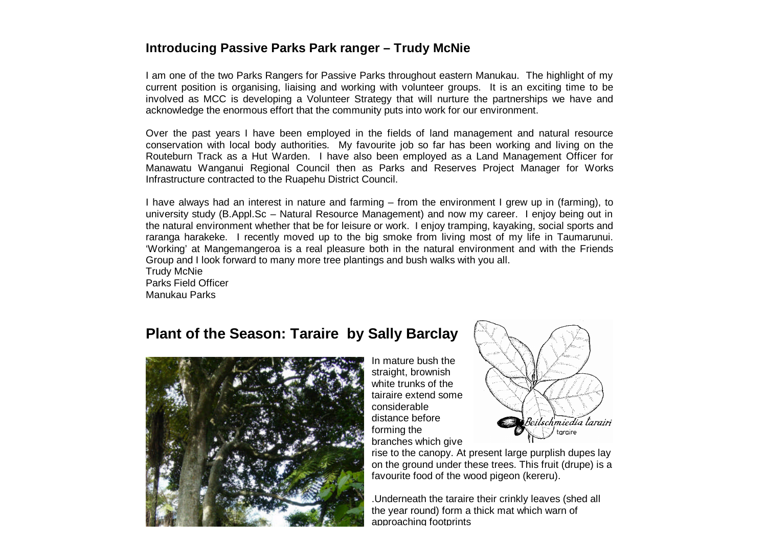## **Introducing Passive Parks Park ranger – Trudy McNie**

I am one of the two Parks Rangers for Passive Parks throughout eastern Manukau. The highlight of my current position is organising, liaising and working with volunteer groups. It is an exciting time to be involved as MCC is developing a Volunteer Strategy that will nurture the partnerships we have and acknowledge the enormous effort that the community puts into work for our environment.

Over the past years I have been employed in the fields of land management and natural resource conservation with local body authorities. My favourite job so far has been working and living on the Routeburn Track as a Hut Warden. I have also been employed as a Land Management Officer for Manawatu Wanganui Regional Council then as Parks and Reserves Project Manager for Works Infrastructure contracted to the Ruapehu District Council.

I have always had an interest in nature and farming – from the environment I grew up in (farming), to university study (B.Appl.Sc – Natural Resource Management) and now my career. I enjoy being out in the natural environment whether that be for leisure or work. I enjoy tramping, kayaking, social sports and raranga harakeke. I recently moved up to the big smoke from living most of my life in Taumarunui. 'Working' at Mangemangeroa is a real pleasure both in the natural environment and with the Friends Group and I look forward to many more tree plantings and bush walks with you all.

Trudy McNie Parks Field Officer Manukau Parks

# **Plant of the Season: Taraire by Sally Barclay**



In mature bush the straight, brownish white trunks of the tairaire extend some considerable distance before forming the branches which give



rise to the canopy. At present large purplish dupes lay on the ground under these trees. This fruit (drupe) is a favourite food of the wood pigeon (kereru).

.Underneath the taraire their crinkly leaves (shed all the year round) form a thick mat which warn of approaching footprints